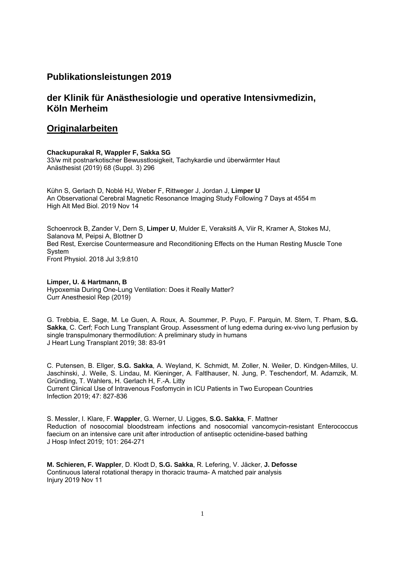# **Publikationsleistungen 2019**

# **der Klinik für Anästhesiologie und operative Intensivmedizin, Köln Merheim**

# **Originalarbeiten**

### **Chackupurakal R, Wappler F, Sakka SG**

33/w mit postnarkotischer Bewusstlosigkeit, Tachykardie und überwärmter Haut Anästhesist (2019) 68 (Suppl. 3) 296

Kühn S, Gerlach D, Noblé HJ, Weber F, Rittweger J, Jordan J, **Limper U** An Observational Cerebral Magnetic Resonance Imaging Study Following 7 Days at 4554 m High Alt Med Biol. 2019 Nov 14

Schoenrock B, Zander V, Dern S, **Limper U**, Mulder E, Veraksitš A, Viir R, Kramer A, Stokes MJ, Salanova M, Peipsi A, Blottner D Bed Rest, Exercise Countermeasure and Reconditioning Effects on the Human Resting Muscle Tone System Front Physiol. 2018 Jul 3;9:810

**Limper, U. & Hartmann, B**  Hypoxemia During One-Lung Ventilation: Does it Really Matter? Curr Anesthesiol Rep (2019)

G. Trebbia, E. Sage, M. Le Guen, A. Roux, A. Soummer, P. Puyo, F. Parquin, M. Stern, T. Pham, **S.G. Sakka**, C. Cerf; Foch Lung Transplant Group. Assessment of lung edema during ex-vivo lung perfusion by single transpulmonary thermodilution: A preliminary study in humans J Heart Lung Transplant 2019; 38: 83-91

C. Putensen, B. Ellger, **S.G. Sakka**, A. Weyland, K. Schmidt, M. Zoller, N. Weiler, D. Kindgen-Milles, U. Jaschinski, J. Weile, S. Lindau, M. Kieninger, A. Faltlhauser, N. Jung, P. Teschendorf, M. Adamzik, M. Gründling, T. Wahlers, H. Gerlach H, F.-A. Litty Current Clinical Use of Intravenous Fosfomycin in ICU Patients in Two European Countries Infection 2019; 47: 827-836

S. Messler, I. Klare, F. **Wappler**, G. Werner, U. Ligges, **S.G. Sakka**, F. Mattner Reduction of nosocomial bloodstream infections and nosocomial vancomycin-resistant Enterococcus faecium on an intensive care unit after introduction of antiseptic octenidine-based bathing J Hosp Infect 2019; 101: 264-271

**M. Schieren, F. Wappler**, D. Klodt D, **S.G. Sakka**, R. Lefering, V. Jäcker, **J. Defosse** Continuous lateral rotational therapy in thoracic trauma- A matched pair analysis Injury 2019 Nov 11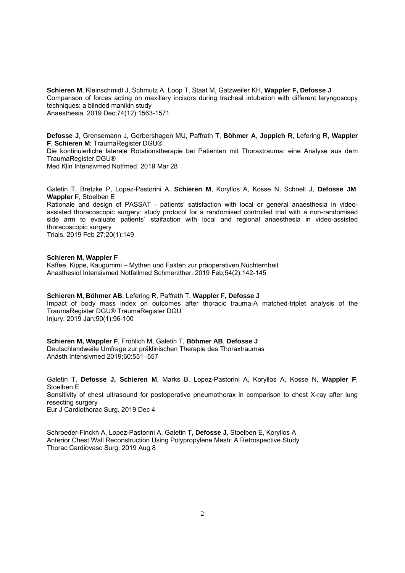**Schieren M**, Kleinschmidt J, Schmutz A, Loop T, Staat M, Gatzweiler KH, **Wappler F, Defosse J** Comparison of forces acting on maxillary incisors during tracheal intubation with different laryngoscopy techniques: a blinded manikin study Anaesthesia. 2019 Dec;74(12):1563-1571

**Defosse J**, Grensemann J, Gerbershagen MU, Paffrath T, **Böhmer A**, **Joppich R**, Lefering R, **Wappler F**, **Schieren M**; TraumaRegister DGU® Die kontinuierliche laterale Rotationstherapie bei Patienten mit Thoraxtrauma: eine Analyse aus dem TraumaRegister DGU®

Med Klin Intensivmed Notfmed. 2019 Mar 28

Galetin T, Bretzke P, Lopez-Pastorini A, **Schieren M**, Koryllos A, Kosse N, Schnell J, **Defosse JM**, **Wappler F**, Stoelben E

Rationale and design of PASSAT - patients' satisfaction with local or general anaesthesia in videoassisted thoracoscopic surgery: study protocol for a randomised controlled trial with a non-randomised side arm to evaluate patients´ staifaction with local and regional anaesthesia in video-assisted thoracoscopic surgery

Trials. 2019 Feb 27;20(1):149

### **Schieren M, Wappler F**  Kaffee, Kippe, Kaugummi – Mythen und Fakten zur präoperativen Nüchternheit Anasthesiol Intensivmed Notfallmed Schmerzther. 2019 Feb;54(2):142-145

**Schieren M, Böhmer AB**, Lefering R, Paffrath T, **Wappler F, Defosse J** Impact of body mass index on outcomes after thoracic trauma-A matched-triplet analysis of the TraumaRegister DGU® TraumaRegister DGU Injury. 2019 Jan;50(1):96-100

**Schieren M, Wappler F**, Fröhlich M, Galetin T, **Böhmer AB**, **Defosse J** Deutschlandweite Umfrage zur präklinischen Therapie des Thoraxtraumas Anästh Intensivmed 2019;60:551–557

Galetin T, **Defosse J, Schieren M**, Marks B, Lopez-Pastorini A, Koryllos A, Kosse N, **Wappler F**, Stoelben E Sensitivity of chest ultrasound for postoperative pneumothorax in comparison to chest X-ray after lung resecting surgery Eur J Cardiothorac Surg. 2019 Dec 4

Schroeder-Finckh A, Lopez-Pastorini A, Galetin T**, Defosse J**, Stoelben E, Koryllos A Anterior Chest Wall Reconstruction Using Polypropylene Mesh: A Retrospective Study Thorac Cardiovasc Surg. 2019 Aug 8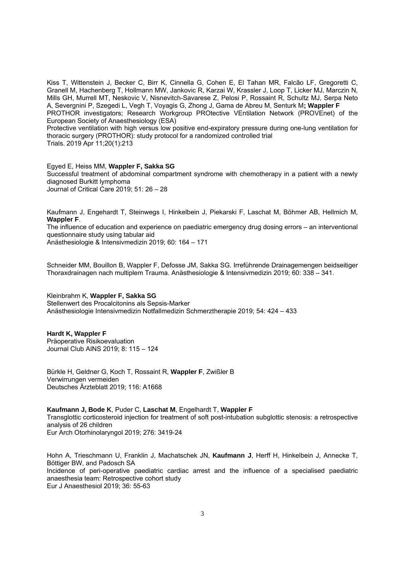Kiss T, Wittenstein J, Becker C, Birr K, Cinnella G, Cohen E, El Tahan MR, Falcão LF, Gregoretti C, Granell M, Hachenberg T, Hollmann MW, Jankovic R, Karzai W, Krassler J, Loop T, Licker MJ, Marczin N, Mills GH, Murrell MT, Neskovic V, Nisnevitch-Savarese Z, Pelosi P, Rossaint R, Schultz MJ, Serpa Neto A, Severgnini P, Szegedi L, Vegh T, Voyagis G, Zhong J, Gama de Abreu M, Senturk M**; Wappler F** PROTHOR investigators; Research Workgroup PROtective VEntilation Network (PROVEnet) of the European Society of Anaesthesiology (ESA)

Protective ventilation with high versus low positive end-expiratory pressure during one-lung ventilation for thoracic surgery (PROTHOR): study protocol for a randomized controlled trial Trials. 2019 Apr 11;20(1):213

### Egyed E, Heiss MM, **Wappler F, Sakka SG**

Successful treatment of abdominal compartment syndrome with chemotherapy in a patient with a newly diagnosed Burkitt lymphoma

Journal of Critical Care 2019; 51: 26 – 28

Kaufmann J, Engehardt T, Steinwegs I, Hinkelbein J, Piekarski F, Laschat M, Böhmer AB, Hellmich M, **Wappler F**.

The influence of education and experience on paediatric emergency drug dosing errors – an interventional questionnaire study using tabular aid

Anästhesiologie & Intensivmedizin 2019; 60: 164 – 171

Schneider MM, Bouillon B, Wappler F, Defosse JM, Sakka SG. Irreführende Drainagemengen beidseitiger Thoraxdrainagen nach multiplem Trauma. Anästhesiologie & Intensivmedizin 2019; 60: 338 – 341.

Kleinbrahm K, **Wappler F, Sakka SG**

Stellenwert des Procalcitonins als Sepsis-Marker Anästhesiologie Intensivmedizin Notfallmedizin Schmerztherapie 2019; 54: 424 – 433

## **Hardt K, Wappler F**

Präoperative Risikoevaluation Journal Club AINS 2019; 8: 115 – 124

Bürkle H, Geldner G, Koch T, Rossaint R, **Wappler F**, Zwißler B Verwirrungen vermeiden Deutsches Ärzteblatt 2019; 116: A1668

### **Kaufmann J, Bode K**, Puder C, **Laschat M**, Engelhardt T, **Wappler F**

Transglottic corticosteroid injection for treatment of soft post-intubation subglottic stenosis: a retrospective analysis of 26 children Eur Arch Otorhinolaryngol 2019; 276: 3419-24

Hohn A, Trieschmann U, Franklin J, Machatschek JN, **Kaufmann J**, Herff H, Hinkelbein J, Annecke T, Böttiger BW, and Padosch SA Incidence of peri-operative paediatric cardiac arrest and the influence of a specialised paediatric anaesthesia team: Retrospective cohort study

Eur J Anaesthesiol 2019; 36: 55-63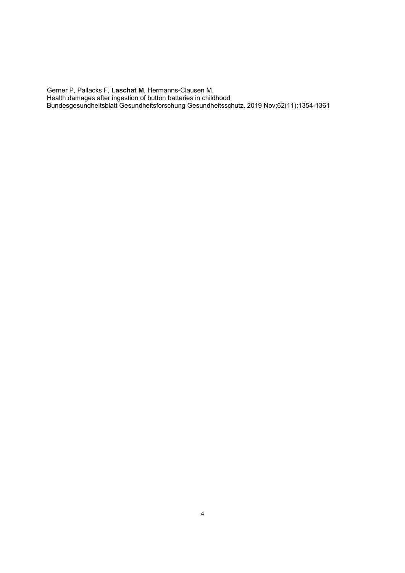Gerner P, Pallacks F, **Laschat M**, Hermanns-Clausen M. Health damages after ingestion of button batteries in childhood Bundesgesundheitsblatt Gesundheitsforschung Gesundheitsschutz. 2019 Nov;62(11):1354-1361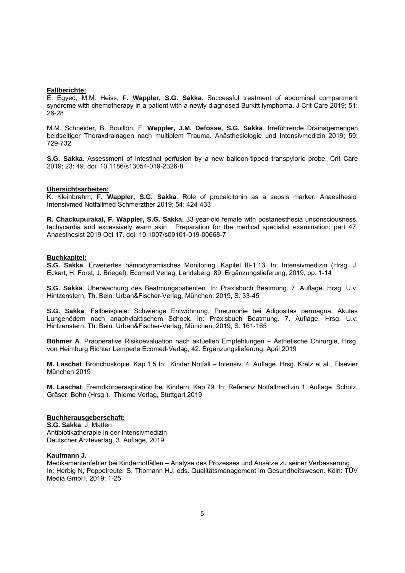### **Fallberichte:**

E. Egyed, M.M. Heiss, **F. Wappler, S.G. Sakka**. Successful treatment of abdominal compartment syndrome with chemotherapy in a patient with a newly diagnosed Burkitt lymphoma. J Crit Care 2019; 51: 26-28

M.M. Schneider, B. Bouillon, F. **Wappler, J.M. Defosse, S.G. Sakka**. Irreführende Drainagemengen beidseitiger Thoraxdrainagen nach multiplem Trauma. Anästhesiologie und Intensivmedizin 2019; 59: 729-732

**S.G. Sakka**. Assessment of intestinal perfusion by a new balloon-tipped transpyloric probe. Crit Care 2019; 23: 49. doi: 10.1186/s13054-019-2326-8

### **Übersichtsarbeiten:**

K. Kleinbrahm, **F. Wappler, S.G. Sakka**. Role of procalcitonin as a sepsis marker. Anaesthesiol Intensivmed Notfallmed Schmerzther 2019; 54: 424-433

**R. Chackupurakal, F. Wappler, S.G. Sakka**. 33-year-old female with postanesthesia unconsciousness, tachycardia and excessively warm skin : Preparation for the medical specialist examination: part 47. Anaesthesist 2019 Oct 17. doi: 10.1007/s00101-019-00668-7

#### **Buchkapitel:**

**S.G. Sakka**. Erweitertes hämodynamisches Monitoring. Kapitel III-1.13. In: Intensivmedizin (Hrsg. J. Eckart, H. Forst, J. Briegel). Ecomed Verlag, Landsberg. 89. Ergänzungslieferung, 2019, pp. 1-14

**S.G. Sakka**. Überwachung des Beatmungspatienten. In: Praxisbuch Beatmung. 7. Auflage. Hrsg. U.v. Hintzenstern, Th. Bein. Urban&Fischer-Verlag, München; 2019, S. 33-45

**S.G. Sakka**. Fallbeispiele: Schwierige Entwöhnung, Pneumonie bei Adipositas permagna, Akutes Lungenödem nach anaphylaktischem Schock. In: Praxisbuch Beatmung. 7. Auflage. Hrsg. U.v. Hintzenstern, Th. Bein. Urban&Fischer-Verlag, München; 2019, S. 161-165

**Böhmer A**. Präoperative Risikoevaluation nach aktuellen Empfehlungen – Ästhetische Chirurgie, Hrsg. von Heimburg Richter Lemperle Ecomed-Verlag, 42. Ergänzungslieferung, April 2019

**M. Laschat**. Bronchoskopie. Kap.1.5 In: Kinder Notfall – Intensiv. 4. Auflage. Hrsg. Kretz et al., Elsevier München 2019

**M. Laschat**. Fremdkörperaspiration bei Kindern. Kap.79. In: Referenz Notfallmedizin 1. Auflage. Scholz, Gräser, Bohn (Hrsg.). Thieme Verlag, Stuttgart 2019

#### **Buchherausgeberschaft:**

**S.G. Sakka**, J. Matten Antibiotikatherapie in der Intensivmedizin Deutscher Ärzteverlag, 3. Auflage, 2019

#### **Kaufmann J.**

Medikamentenfehler bei Kindernotfällen – Analyse des Prozesses und Ansätze zu seiner Verbesserung. In: Herbig N, Poppelreuter S, Thomann HJ, eds. Qualitätsmanagement im Gesundheitswesen. Köln: TÜV Media GmbH, 2019; 1-25